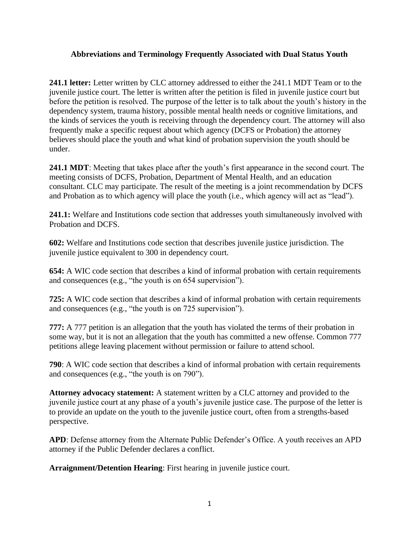## **Abbreviations and Terminology Frequently Associated with Dual Status Youth**

**241.1 letter:** Letter written by CLC attorney addressed to either the 241.1 MDT Team or to the juvenile justice court. The letter is written after the petition is filed in juvenile justice court but before the petition is resolved. The purpose of the letter is to talk about the youth's history in the dependency system, trauma history, possible mental health needs or cognitive limitations, and the kinds of services the youth is receiving through the dependency court. The attorney will also frequently make a specific request about which agency (DCFS or Probation) the attorney believes should place the youth and what kind of probation supervision the youth should be under.

**241.1 MDT**: Meeting that takes place after the youth's first appearance in the second court. The meeting consists of DCFS, Probation, Department of Mental Health, and an education consultant. CLC may participate. The result of the meeting is a joint recommendation by DCFS and Probation as to which agency will place the youth (i.e., which agency will act as "lead").

**241.1:** Welfare and Institutions code section that addresses youth simultaneously involved with Probation and DCFS.

**602:** Welfare and Institutions code section that describes juvenile justice jurisdiction. The juvenile justice equivalent to 300 in dependency court.

**654:** A WIC code section that describes a kind of informal probation with certain requirements and consequences (e.g., "the youth is on 654 supervision").

**725:** A WIC code section that describes a kind of informal probation with certain requirements and consequences (e.g., "the youth is on 725 supervision").

**777:** A 777 petition is an allegation that the youth has violated the terms of their probation in some way, but it is not an allegation that the youth has committed a new offense. Common 777 petitions allege leaving placement without permission or failure to attend school.

**790**: A WIC code section that describes a kind of informal probation with certain requirements and consequences (e.g., "the youth is on 790").

**Attorney advocacy statement:** A statement written by a CLC attorney and provided to the juvenile justice court at any phase of a youth's juvenile justice case. The purpose of the letter is to provide an update on the youth to the juvenile justice court, often from a strengths-based perspective.

**APD**: Defense attorney from the Alternate Public Defender's Office. A youth receives an APD attorney if the Public Defender declares a conflict.

**Arraignment/Detention Hearing**: First hearing in juvenile justice court.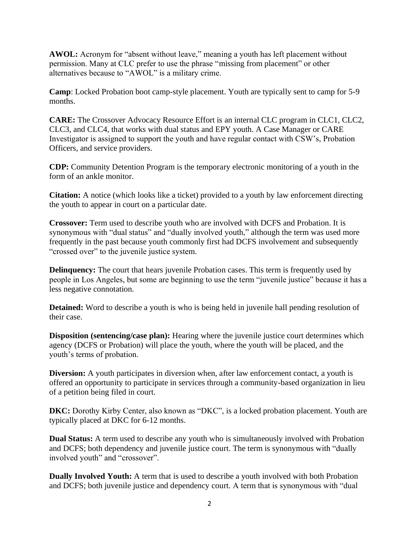**AWOL:** Acronym for "absent without leave," meaning a youth has left placement without permission. Many at CLC prefer to use the phrase "missing from placement" or other alternatives because to "AWOL" is a military crime.

**Camp**: Locked Probation boot camp-style placement. Youth are typically sent to camp for 5-9 months.

**CARE:** The Crossover Advocacy Resource Effort is an internal CLC program in CLC1, CLC2, CLC3, and CLC4, that works with dual status and EPY youth. A Case Manager or CARE Investigator is assigned to support the youth and have regular contact with CSW's, Probation Officers, and service providers.

**CDP:** Community Detention Program is the temporary electronic monitoring of a youth in the form of an ankle monitor.

**Citation:** A notice (which looks like a ticket) provided to a youth by law enforcement directing the youth to appear in court on a particular date.

**Crossover:** Term used to describe youth who are involved with DCFS and Probation. It is synonymous with "dual status" and "dually involved youth," although the term was used more frequently in the past because youth commonly first had DCFS involvement and subsequently "crossed over" to the juvenile justice system.

**Delinquency:** The court that hears juvenile Probation cases. This term is frequently used by people in Los Angeles, but some are beginning to use the term "juvenile justice" because it has a less negative connotation.

**Detained:** Word to describe a youth is who is being held in juvenile hall pending resolution of their case.

**Disposition** (sentencing/case plan): Hearing where the juvenile justice court determines which agency (DCFS or Probation) will place the youth, where the youth will be placed, and the youth's terms of probation.

**Diversion:** A youth participates in diversion when, after law enforcement contact, a youth is offered an opportunity to participate in services through a community-based organization in lieu of a petition being filed in court.

**DKC:** Dorothy Kirby Center, also known as "DKC", is a locked probation placement. Youth are typically placed at DKC for 6-12 months.

**Dual Status:** A term used to describe any youth who is simultaneously involved with Probation and DCFS; both dependency and juvenile justice court. The term is synonymous with "dually involved youth" and "crossover".

**Dually Involved Youth:** A term that is used to describe a youth involved with both Probation and DCFS; both juvenile justice and dependency court. A term that is synonymous with "dual